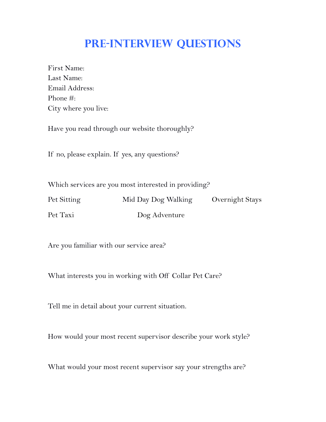## **Pre-Interview Questions**

| First Name:          |
|----------------------|
| Last Name:           |
| Email Address:       |
| Phone #:             |
| City where you live: |

Have you read through our website thoroughly?

If no, please explain. If yes, any questions?

Which services are you most interested in providing?

| Pet Sitting | Mid Day Dog Walking | Overnight Stays |
|-------------|---------------------|-----------------|
| Pet Taxi    | Dog Adventure       |                 |

Are you familiar with our service area?

What interests you in working with Off Collar Pet Care?

Tell me in detail about your current situation.

How would your most recent supervisor describe your work style?

What would your most recent supervisor say your strengths are?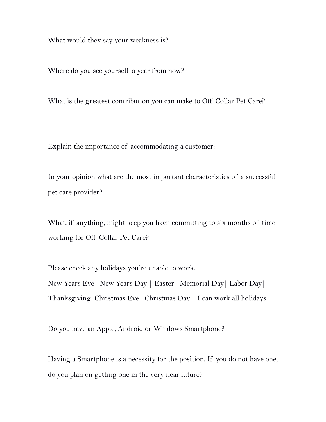What would they say your weakness is?

Where do you see yourself a year from now?

What is the greatest contribution you can make to Off Collar Pet Care?

Explain the importance of accommodating a customer:

In your opinion what are the most important characteristics of a successful pet care provider?

What, if anything, might keep you from committing to six months of time working for Off Collar Pet Care?

Please check any holidays you're unable to work.

New Years Eve| New Years Day | Easter |Memorial Day| Labor Day| Thanksgiving Christmas Eve| Christmas Day| I can work all holidays

Do you have an Apple, Android or Windows Smartphone?

Having a Smartphone is a necessity for the position. If you do not have one, do you plan on getting one in the very near future?